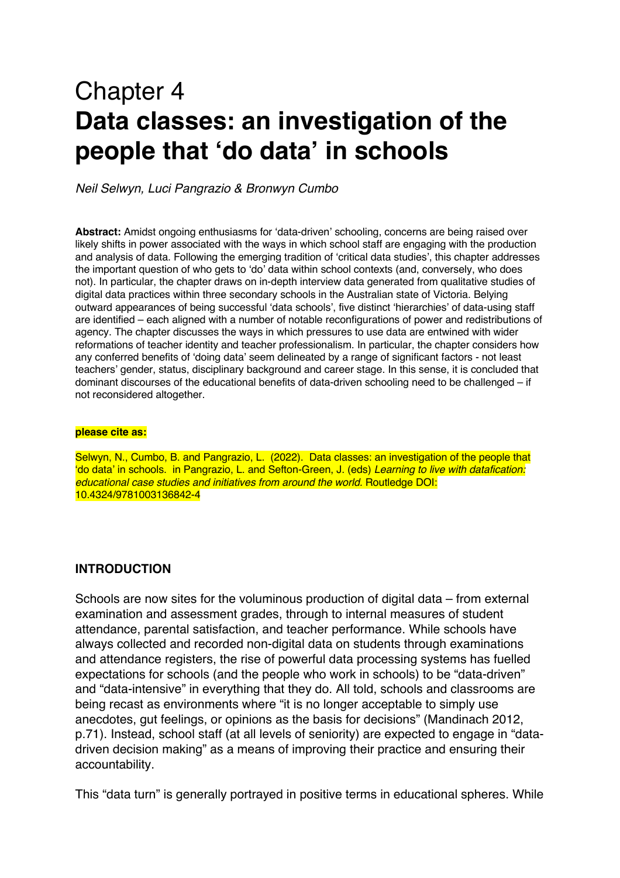# Chapter 4 **Data classes: an investigation of the people that 'do data' in schools**

*Neil Selwyn, Luci Pangrazio & Bronwyn Cumbo*

**Abstract:** Amidst ongoing enthusiasms for 'data-driven' schooling, concerns are being raised over likely shifts in power associated with the ways in which school staff are engaging with the production and analysis of data. Following the emerging tradition of 'critical data studies', this chapter addresses the important question of who gets to 'do' data within school contexts (and, conversely, who does not). In particular, the chapter draws on in-depth interview data generated from qualitative studies of digital data practices within three secondary schools in the Australian state of Victoria. Belying outward appearances of being successful 'data schools', five distinct 'hierarchies' of data-using staff are identified – each aligned with a number of notable reconfigurations of power and redistributions of agency. The chapter discusses the ways in which pressures to use data are entwined with wider reformations of teacher identity and teacher professionalism. In particular, the chapter considers how any conferred benefits of 'doing data' seem delineated by a range of significant factors - not least teachers' gender, status, disciplinary background and career stage. In this sense, it is concluded that dominant discourses of the educational benefits of data-driven schooling need to be challenged – if not reconsidered altogether.

#### **please cite as:**

Selwyn, N., Cumbo, B. and Pangrazio, L. (2022). Data classes: an investigation of the people that 'do data' in schools. in Pangrazio, L. and Sefton-Green, J. (eds) *Learning to live with datafication: educational case studies and initiatives from around the world.* **Routledge DOI:** 10.4324/9781003136842-4

#### **INTRODUCTION**

Schools are now sites for the voluminous production of digital data – from external examination and assessment grades, through to internal measures of student attendance, parental satisfaction, and teacher performance. While schools have always collected and recorded non-digital data on students through examinations and attendance registers, the rise of powerful data processing systems has fuelled expectations for schools (and the people who work in schools) to be "data-driven" and "data-intensive" in everything that they do. All told, schools and classrooms are being recast as environments where "it is no longer acceptable to simply use anecdotes, gut feelings, or opinions as the basis for decisions" (Mandinach 2012, p.71). Instead, school staff (at all levels of seniority) are expected to engage in "datadriven decision making" as a means of improving their practice and ensuring their accountability.

This "data turn" is generally portrayed in positive terms in educational spheres. While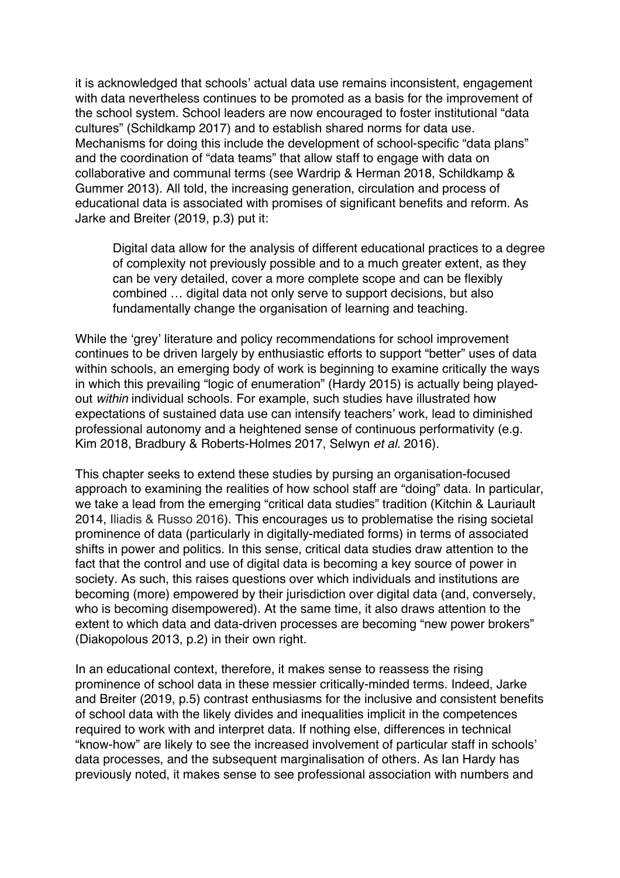it is acknowledged that schools' actual data use remains inconsistent, engagement with data nevertheless continues to be promoted as a basis for the improvement of the school system. School leaders are now encouraged to foster institutional "data cultures" (Schildkamp 2017) and to establish shared norms for data use. Mechanisms for doing this include the development of school-specific "data plans" and the coordination of "data teams" that allow staff to engage with data on collaborative and communal terms (see Wardrip & Herman 2018, Schildkamp & Gummer 2013). All told, the increasing generation, circulation and process of educational data is associated with promises of significant benefits and reform. As Jarke and Breiter (2019, p.3) put it:

Digital data allow for the analysis of different educational practices to a degree of complexity not previously possible and to a much greater extent, as they can be very detailed, cover a more complete scope and can be flexibly combined … digital data not only serve to support decisions, but also fundamentally change the organisation of learning and teaching.

While the 'grey' literature and policy recommendations for school improvement continues to be driven largely by enthusiastic efforts to support "better" uses of data within schools, an emerging body of work is beginning to examine critically the ways in which this prevailing "logic of enumeration" (Hardy 2015) is actually being playedout *within* individual schools. For example, such studies have illustrated how expectations of sustained data use can intensify teachers' work, lead to diminished professional autonomy and a heightened sense of continuous performativity (e.g. Kim 2018, Bradbury & Roberts-Holmes 2017, Selwyn *et al.* 2016).

This chapter seeks to extend these studies by pursing an organisation-focused approach to examining the realities of how school staff are "doing" data. In particular, we take a lead from the emerging "critical data studies" tradition (Kitchin & Lauriault 2014, Iliadis & Russo 2016). This encourages us to problematise the rising societal prominence of data (particularly in digitally-mediated forms) in terms of associated shifts in power and politics. In this sense, critical data studies draw attention to the fact that the control and use of digital data is becoming a key source of power in society. As such, this raises questions over which individuals and institutions are becoming (more) empowered by their jurisdiction over digital data (and, conversely, who is becoming disempowered). At the same time, it also draws attention to the extent to which data and data-driven processes are becoming "new power brokers" (Diakopolous 2013, p.2) in their own right.

In an educational context, therefore, it makes sense to reassess the rising prominence of school data in these messier critically-minded terms. Indeed, Jarke and Breiter (2019, p.5) contrast enthusiasms for the inclusive and consistent benefits of school data with the likely divides and inequalities implicit in the competences required to work with and interpret data. If nothing else, differences in technical "know-how" are likely to see the increased involvement of particular staff in schools' data processes, and the subsequent marginalisation of others. As Ian Hardy has previously noted, it makes sense to see professional association with numbers and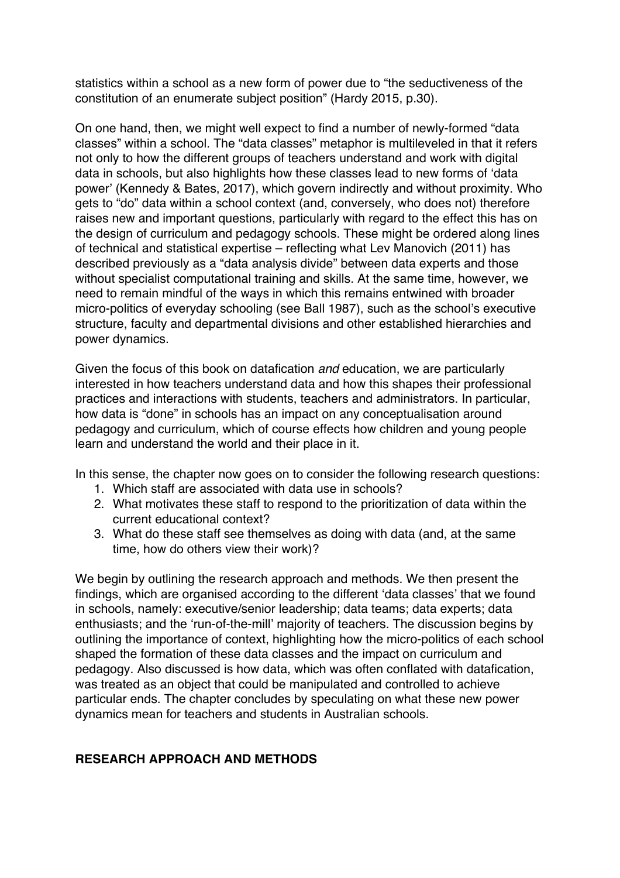statistics within a school as a new form of power due to "the seductiveness of the constitution of an enumerate subject position" (Hardy 2015, p.30).

On one hand, then, we might well expect to find a number of newly-formed "data classes" within a school. The "data classes" metaphor is multileveled in that it refers not only to how the different groups of teachers understand and work with digital data in schools, but also highlights how these classes lead to new forms of 'data power' (Kennedy & Bates, 2017), which govern indirectly and without proximity. Who gets to "do" data within a school context (and, conversely, who does not) therefore raises new and important questions, particularly with regard to the effect this has on the design of curriculum and pedagogy schools. These might be ordered along lines of technical and statistical expertise – reflecting what Lev Manovich (2011) has described previously as a "data analysis divide" between data experts and those without specialist computational training and skills. At the same time, however, we need to remain mindful of the ways in which this remains entwined with broader micro-politics of everyday schooling (see Ball 1987), such as the school's executive structure, faculty and departmental divisions and other established hierarchies and power dynamics.

Given the focus of this book on datafication *and* education, we are particularly interested in how teachers understand data and how this shapes their professional practices and interactions with students, teachers and administrators. In particular, how data is "done" in schools has an impact on any conceptualisation around pedagogy and curriculum, which of course effects how children and young people learn and understand the world and their place in it.

In this sense, the chapter now goes on to consider the following research questions:

- 1. Which staff are associated with data use in schools?
- 2. What motivates these staff to respond to the prioritization of data within the current educational context?
- 3. What do these staff see themselves as doing with data (and, at the same time, how do others view their work)?

We begin by outlining the research approach and methods. We then present the findings, which are organised according to the different 'data classes' that we found in schools, namely: executive/senior leadership; data teams; data experts; data enthusiasts; and the 'run-of-the-mill' majority of teachers. The discussion begins by outlining the importance of context, highlighting how the micro-politics of each school shaped the formation of these data classes and the impact on curriculum and pedagogy. Also discussed is how data, which was often conflated with datafication, was treated as an object that could be manipulated and controlled to achieve particular ends. The chapter concludes by speculating on what these new power dynamics mean for teachers and students in Australian schools.

#### **RESEARCH APPROACH AND METHODS**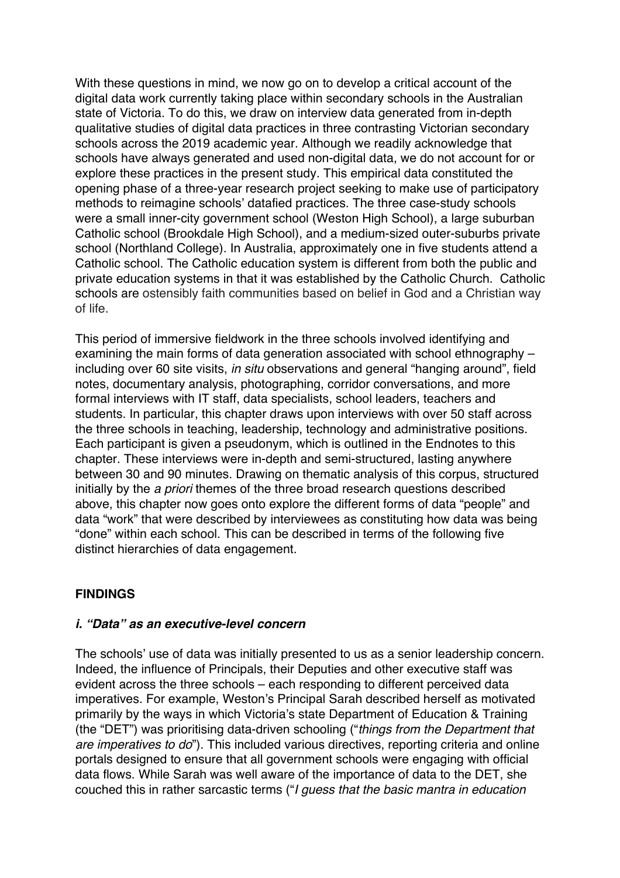With these questions in mind, we now go on to develop a critical account of the digital data work currently taking place within secondary schools in the Australian state of Victoria. To do this, we draw on interview data generated from in-depth qualitative studies of digital data practices in three contrasting Victorian secondary schools across the 2019 academic year. Although we readily acknowledge that schools have always generated and used non-digital data, we do not account for or explore these practices in the present study. This empirical data constituted the opening phase of a three-year research project seeking to make use of participatory methods to reimagine schools' datafied practices. The three case-study schools were a small inner-city government school (Weston High School), a large suburban Catholic school (Brookdale High School), and a medium-sized outer-suburbs private school (Northland College). In Australia, approximately one in five students attend a Catholic school. The Catholic education system is different from both the public and private education systems in that it was established by the Catholic Church. Catholic schools are ostensibly faith communities based on belief in God and a Christian way of life.

This period of immersive fieldwork in the three schools involved identifying and examining the main forms of data generation associated with school ethnography – including over 60 site visits, *in situ* observations and general "hanging around", field notes, documentary analysis, photographing, corridor conversations, and more formal interviews with IT staff, data specialists, school leaders, teachers and students. In particular, this chapter draws upon interviews with over 50 staff across the three schools in teaching, leadership, technology and administrative positions. Each participant is given a pseudonym, which is outlined in the Endnotes to this chapter. These interviews were in-depth and semi-structured, lasting anywhere between 30 and 90 minutes. Drawing on thematic analysis of this corpus, structured initially by the *a priori* themes of the three broad research questions described above, this chapter now goes onto explore the different forms of data "people" and data "work" that were described by interviewees as constituting how data was being "done" within each school. This can be described in terms of the following five distinct hierarchies of data engagement.

# **FINDINGS**

# *i. "Data" as an executive-level concern*

The schools' use of data was initially presented to us as a senior leadership concern. Indeed, the influence of Principals, their Deputies and other executive staff was evident across the three schools – each responding to different perceived data imperatives. For example, Weston's Principal Sarah described herself as motivated primarily by the ways in which Victoria's state Department of Education & Training (the "DET") was prioritising data-driven schooling ("*things from the Department that are imperatives to do*"). This included various directives, reporting criteria and online portals designed to ensure that all government schools were engaging with official data flows. While Sarah was well aware of the importance of data to the DET, she couched this in rather sarcastic terms ("*I guess that the basic mantra in education*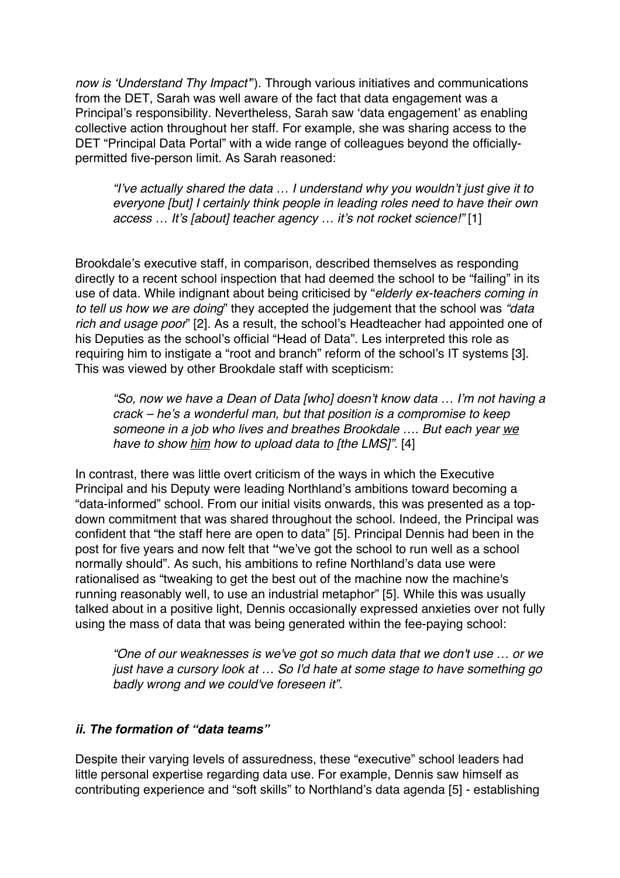*now is 'Understand Thy Impact'*"). Through various initiatives and communications from the DET, Sarah was well aware of the fact that data engagement was a Principal's responsibility. Nevertheless, Sarah saw 'data engagement' as enabling collective action throughout her staff. For example, she was sharing access to the DET "Principal Data Portal" with a wide range of colleagues beyond the officiallypermitted five-person limit. As Sarah reasoned:

*"I've actually shared the data … I understand why you wouldn't just give it to everyone [but] I certainly think people in leading roles need to have their own access … It's [about] teacher agency … it's not rocket science!"* [1]

Brookdale's executive staff, in comparison, described themselves as responding directly to a recent school inspection that had deemed the school to be "failing" in its use of data. While indignant about being criticised by "*elderly ex-teachers coming in to tell us how we are doing*" they accepted the judgement that the school was *"data rich and usage poor*" [2]. As a result, the school's Headteacher had appointed one of his Deputies as the school's official "Head of Data". Les interpreted this role as requiring him to instigate a "root and branch" reform of the school's IT systems [3]. This was viewed by other Brookdale staff with scepticism:

*"So, now we have a Dean of Data [who] doesn't know data … I'm not having a crack – he's a wonderful man, but that position is a compromise to keep someone in a job who lives and breathes Brookdale …. But each year we have to show him how to upload data to [the LMS]".* [4]

In contrast, there was little overt criticism of the ways in which the Executive Principal and his Deputy were leading Northland's ambitions toward becoming a "data-informed" school. From our initial visits onwards, this was presented as a topdown commitment that was shared throughout the school. Indeed, the Principal was confident that "the staff here are open to data" [5]. Principal Dennis had been in the post for five years and now felt that **"**we've got the school to run well as a school normally should". As such, his ambitions to refine Northland's data use were rationalised as "tweaking to get the best out of the machine now the machine's running reasonably well, to use an industrial metaphor" [5]. While this was usually talked about in a positive light, Dennis occasionally expressed anxieties over not fully using the mass of data that was being generated within the fee-paying school:

*"One of our weaknesses is we've got so much data that we don't use … or we just have a cursory look at … So I'd hate at some stage to have something go badly wrong and we could've foreseen it"*.

# *ii. The formation of "data teams"*

Despite their varying levels of assuredness, these "executive" school leaders had little personal expertise regarding data use. For example, Dennis saw himself as contributing experience and "soft skills" to Northland's data agenda [5] - establishing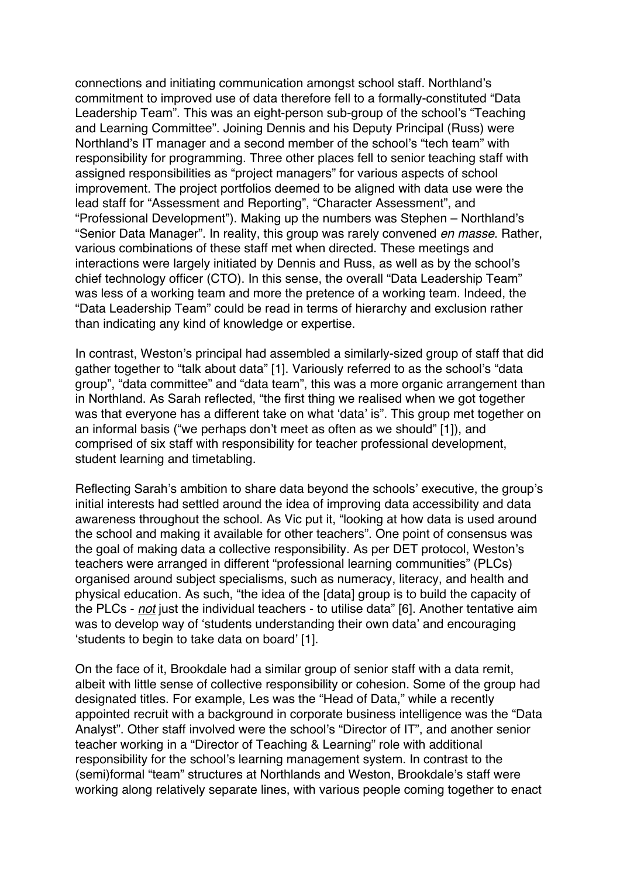connections and initiating communication amongst school staff. Northland's commitment to improved use of data therefore fell to a formally-constituted "Data Leadership Team". This was an eight-person sub-group of the school's "Teaching and Learning Committee". Joining Dennis and his Deputy Principal (Russ) were Northland's IT manager and a second member of the school's "tech team" with responsibility for programming. Three other places fell to senior teaching staff with assigned responsibilities as "project managers" for various aspects of school improvement. The project portfolios deemed to be aligned with data use were the lead staff for "Assessment and Reporting", "Character Assessment", and "Professional Development"). Making up the numbers was Stephen – Northland's "Senior Data Manager". In reality, this group was rarely convened *en masse*. Rather, various combinations of these staff met when directed. These meetings and interactions were largely initiated by Dennis and Russ, as well as by the school's chief technology officer (CTO). In this sense, the overall "Data Leadership Team" was less of a working team and more the pretence of a working team. Indeed, the "Data Leadership Team" could be read in terms of hierarchy and exclusion rather than indicating any kind of knowledge or expertise.

In contrast, Weston's principal had assembled a similarly-sized group of staff that did gather together to "talk about data" [1]. Variously referred to as the school's "data group", "data committee" and "data team", this was a more organic arrangement than in Northland. As Sarah reflected, "the first thing we realised when we got together was that everyone has a different take on what 'data' is". This group met together on an informal basis ("we perhaps don't meet as often as we should" [1]), and comprised of six staff with responsibility for teacher professional development, student learning and timetabling.

Reflecting Sarah's ambition to share data beyond the schools' executive, the group's initial interests had settled around the idea of improving data accessibility and data awareness throughout the school. As Vic put it, "looking at how data is used around the school and making it available for other teachers". One point of consensus was the goal of making data a collective responsibility. As per DET protocol, Weston's teachers were arranged in different "professional learning communities" (PLCs) organised around subject specialisms, such as numeracy, literacy, and health and physical education. As such, "the idea of the [data] group is to build the capacity of the PLCs - *not* just the individual teachers - to utilise data" [6]. Another tentative aim was to develop way of 'students understanding their own data' and encouraging 'students to begin to take data on board' [1].

On the face of it, Brookdale had a similar group of senior staff with a data remit, albeit with little sense of collective responsibility or cohesion. Some of the group had designated titles. For example, Les was the "Head of Data," while a recently appointed recruit with a background in corporate business intelligence was the "Data Analyst". Other staff involved were the school's "Director of IT", and another senior teacher working in a "Director of Teaching & Learning" role with additional responsibility for the school's learning management system. In contrast to the (semi)formal "team" structures at Northlands and Weston, Brookdale's staff were working along relatively separate lines, with various people coming together to enact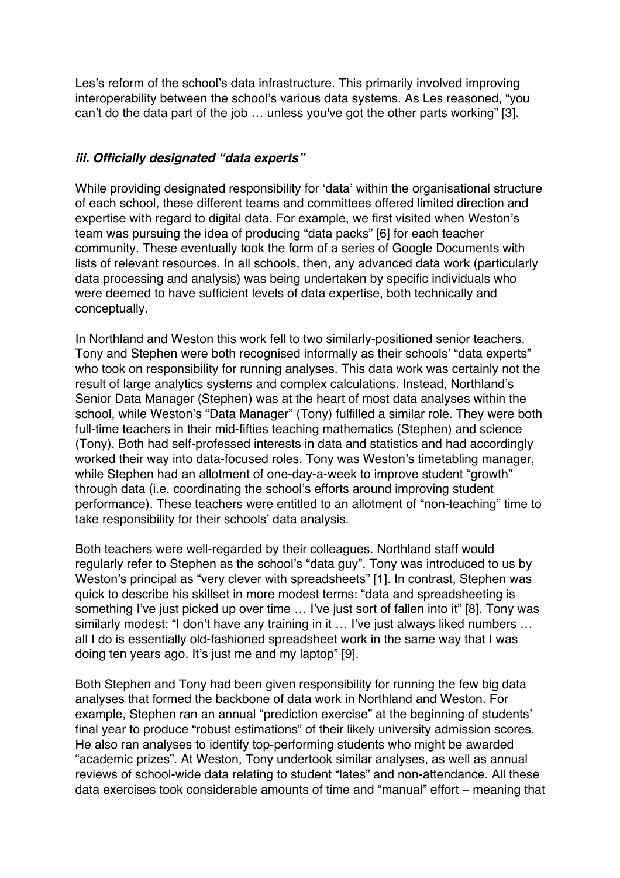Les's reform of the school's data infrastructure. This primarily involved improving interoperability between the school's various data systems. As Les reasoned, "you can't do the data part of the job … unless you've got the other parts working" [3].

#### *iii. Officially designated "data experts"*

While providing designated responsibility for 'data' within the organisational structure of each school, these different teams and committees offered limited direction and expertise with regard to digital data. For example, we first visited when Weston's team was pursuing the idea of producing "data packs" [6] for each teacher community. These eventually took the form of a series of Google Documents with lists of relevant resources. In all schools, then, any advanced data work (particularly data processing and analysis) was being undertaken by specific individuals who were deemed to have sufficient levels of data expertise, both technically and conceptually.

In Northland and Weston this work fell to two similarly-positioned senior teachers. Tony and Stephen were both recognised informally as their schools' "data experts" who took on responsibility for running analyses. This data work was certainly not the result of large analytics systems and complex calculations. Instead, Northland's Senior Data Manager (Stephen) was at the heart of most data analyses within the school, while Weston's "Data Manager" (Tony) fulfilled a similar role. They were both full-time teachers in their mid-fifties teaching mathematics (Stephen) and science (Tony). Both had self-professed interests in data and statistics and had accordingly worked their way into data-focused roles. Tony was Weston's timetabling manager, while Stephen had an allotment of one-day-a-week to improve student "growth" through data (i.e. coordinating the school's efforts around improving student performance). These teachers were entitled to an allotment of "non-teaching" time to take responsibility for their schools' data analysis.

Both teachers were well-regarded by their colleagues. Northland staff would regularly refer to Stephen as the school's "data guy". Tony was introduced to us by Weston's principal as "very clever with spreadsheets" [1]. In contrast, Stephen was quick to describe his skillset in more modest terms: "data and spreadsheeting is something I've just picked up over time … I've just sort of fallen into it" [8]. Tony was similarly modest: "I don't have any training in it ... I've just always liked numbers ... all I do is essentially old-fashioned spreadsheet work in the same way that I was doing ten years ago. It's just me and my laptop" [9].

Both Stephen and Tony had been given responsibility for running the few big data analyses that formed the backbone of data work in Northland and Weston. For example, Stephen ran an annual "prediction exercise" at the beginning of students' final year to produce "robust estimations" of their likely university admission scores. He also ran analyses to identify top-performing students who might be awarded "academic prizes". At Weston, Tony undertook similar analyses, as well as annual reviews of school-wide data relating to student "lates" and non-attendance. All these data exercises took considerable amounts of time and "manual" effort – meaning that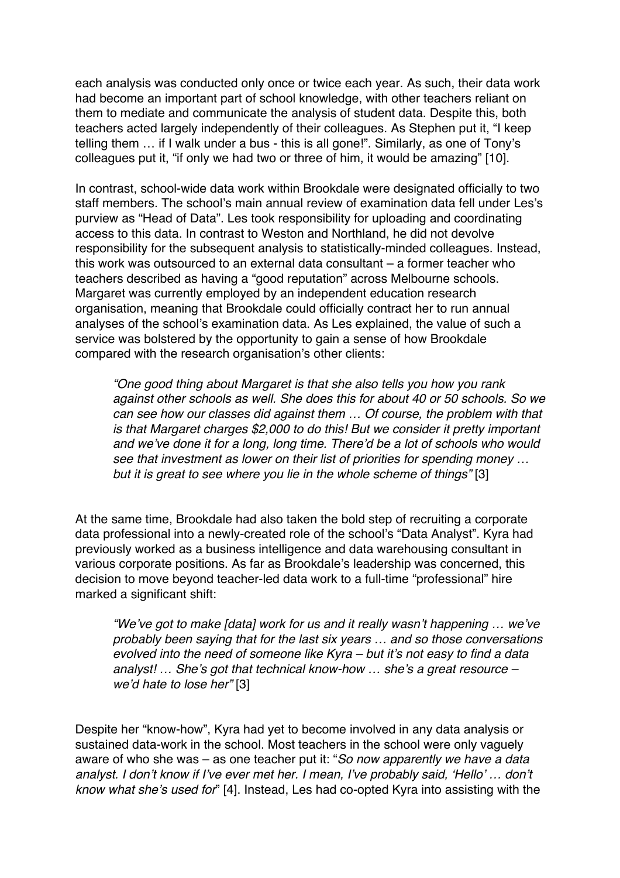each analysis was conducted only once or twice each year. As such, their data work had become an important part of school knowledge, with other teachers reliant on them to mediate and communicate the analysis of student data. Despite this, both teachers acted largely independently of their colleagues. As Stephen put it, "I keep telling them … if I walk under a bus - this is all gone!". Similarly, as one of Tony's colleagues put it, "if only we had two or three of him, it would be amazing" [10].

In contrast, school-wide data work within Brookdale were designated officially to two staff members. The school's main annual review of examination data fell under Les's purview as "Head of Data". Les took responsibility for uploading and coordinating access to this data. In contrast to Weston and Northland, he did not devolve responsibility for the subsequent analysis to statistically-minded colleagues. Instead, this work was outsourced to an external data consultant – a former teacher who teachers described as having a "good reputation" across Melbourne schools. Margaret was currently employed by an independent education research organisation, meaning that Brookdale could officially contract her to run annual analyses of the school's examination data. As Les explained, the value of such a service was bolstered by the opportunity to gain a sense of how Brookdale compared with the research organisation's other clients:

*"One good thing about Margaret is that she also tells you how you rank against other schools as well. She does this for about 40 or 50 schools. So we can see how our classes did against them … Of course, the problem with that is that Margaret charges \$2,000 to do this! But we consider it pretty important and we've done it for a long, long time. There'd be a lot of schools who would see that investment as lower on their list of priorities for spending money … but it is great to see where you lie in the whole scheme of things"* [3]

At the same time, Brookdale had also taken the bold step of recruiting a corporate data professional into a newly-created role of the school's "Data Analyst". Kyra had previously worked as a business intelligence and data warehousing consultant in various corporate positions. As far as Brookdale's leadership was concerned, this decision to move beyond teacher-led data work to a full-time "professional" hire marked a significant shift:

*"We've got to make [data] work for us and it really wasn't happening … we've probably been saying that for the last six years … and so those conversations evolved into the need of someone like Kyra – but it's not easy to find a data analyst! … She's got that technical know-how … she's a great resource – we'd hate to lose her"* [3]

Despite her "know-how", Kyra had yet to become involved in any data analysis or sustained data-work in the school. Most teachers in the school were only vaguely aware of who she was – as one teacher put it: "*So now apparently we have a data analyst. I don't know if I've ever met her. I mean, I've probably said, 'Hello' … don't know what she's used for*" [4]. Instead, Les had co-opted Kyra into assisting with the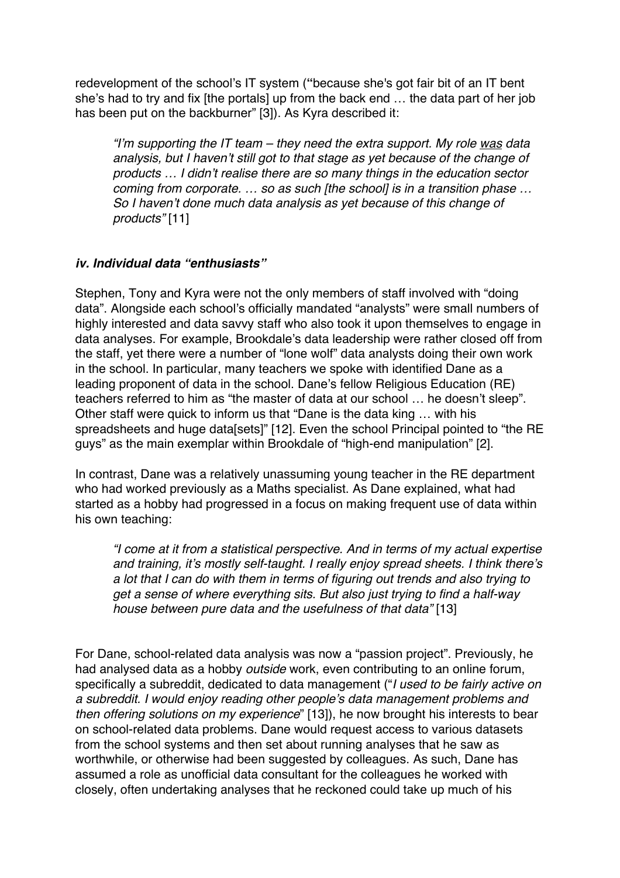redevelopment of the school's IT system (**"**because she's got fair bit of an IT bent she's had to try and fix [the portals] up from the back end … the data part of her job has been put on the backburner" [3]). As Kyra described it:

*"I'm supporting the IT team – they need the extra support. My role was data analysis, but I haven't still got to that stage as yet because of the change of products … I didn't realise there are so many things in the education sector coming from corporate. … so as such [the school] is in a transition phase … So I haven't done much data analysis as yet because of this change of products"* [11]

#### *iv. Individual data "enthusiasts"*

Stephen, Tony and Kyra were not the only members of staff involved with "doing data". Alongside each school's officially mandated "analysts" were small numbers of highly interested and data savvy staff who also took it upon themselves to engage in data analyses. For example, Brookdale's data leadership were rather closed off from the staff, yet there were a number of "lone wolf" data analysts doing their own work in the school. In particular, many teachers we spoke with identified Dane as a leading proponent of data in the school. Dane's fellow Religious Education (RE) teachers referred to him as "the master of data at our school … he doesn't sleep". Other staff were quick to inform us that "Dane is the data king … with his spreadsheets and huge data[sets]" [12]. Even the school Principal pointed to "the RE guys" as the main exemplar within Brookdale of "high-end manipulation" [2].

In contrast, Dane was a relatively unassuming young teacher in the RE department who had worked previously as a Maths specialist. As Dane explained, what had started as a hobby had progressed in a focus on making frequent use of data within his own teaching:

*"I come at it from a statistical perspective. And in terms of my actual expertise and training, it's mostly self-taught. I really enjoy spread sheets. I think there's a lot that I can do with them in terms of figuring out trends and also trying to get a sense of where everything sits. But also just trying to find a half-way house between pure data and the usefulness of that data"* [13]

For Dane, school-related data analysis was now a "passion project". Previously, he had analysed data as a hobby *outside* work, even contributing to an online forum, specifically a subreddit, dedicated to data management ("*I used to be fairly active on a subreddit. I would enjoy reading other people's data management problems and then offering solutions on my experience*" [13]), he now brought his interests to bear on school-related data problems. Dane would request access to various datasets from the school systems and then set about running analyses that he saw as worthwhile, or otherwise had been suggested by colleagues. As such, Dane has assumed a role as unofficial data consultant for the colleagues he worked with closely, often undertaking analyses that he reckoned could take up much of his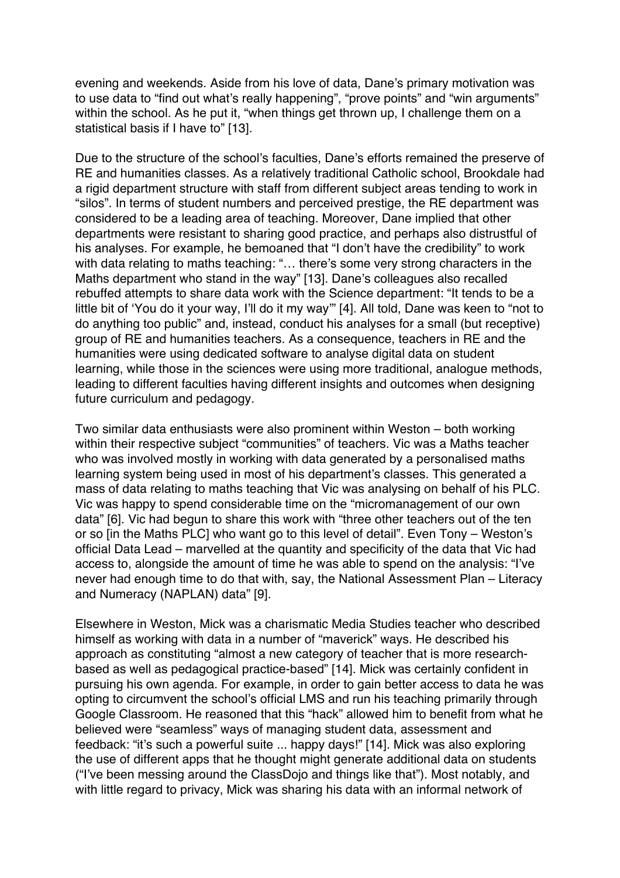evening and weekends. Aside from his love of data, Dane's primary motivation was to use data to "find out what's really happening", "prove points" and "win arguments" within the school. As he put it, "when things get thrown up, I challenge them on a statistical basis if I have to" [13].

Due to the structure of the school's faculties, Dane's efforts remained the preserve of RE and humanities classes. As a relatively traditional Catholic school, Brookdale had a rigid department structure with staff from different subject areas tending to work in "silos". In terms of student numbers and perceived prestige, the RE department was considered to be a leading area of teaching. Moreover, Dane implied that other departments were resistant to sharing good practice, and perhaps also distrustful of his analyses. For example, he bemoaned that "I don't have the credibility" to work with data relating to maths teaching: "… there's some very strong characters in the Maths department who stand in the way" [13]. Dane's colleagues also recalled rebuffed attempts to share data work with the Science department: "It tends to be a little bit of 'You do it your way, I'll do it my way" [4]. All told, Dane was keen to "not to do anything too public" and, instead, conduct his analyses for a small (but receptive) group of RE and humanities teachers. As a consequence, teachers in RE and the humanities were using dedicated software to analyse digital data on student learning, while those in the sciences were using more traditional, analogue methods, leading to different faculties having different insights and outcomes when designing future curriculum and pedagogy.

Two similar data enthusiasts were also prominent within Weston – both working within their respective subject "communities" of teachers. Vic was a Maths teacher who was involved mostly in working with data generated by a personalised maths learning system being used in most of his department's classes. This generated a mass of data relating to maths teaching that Vic was analysing on behalf of his PLC. Vic was happy to spend considerable time on the "micromanagement of our own data" [6]. Vic had begun to share this work with "three other teachers out of the ten or so [in the Maths PLC] who want go to this level of detail". Even Tony – Weston's official Data Lead – marvelled at the quantity and specificity of the data that Vic had access to, alongside the amount of time he was able to spend on the analysis: "I've never had enough time to do that with, say, the National Assessment Plan – Literacy and Numeracy (NAPLAN) data" [9].

Elsewhere in Weston, Mick was a charismatic Media Studies teacher who described himself as working with data in a number of "maverick" ways. He described his approach as constituting "almost a new category of teacher that is more researchbased as well as pedagogical practice-based" [14]. Mick was certainly confident in pursuing his own agenda. For example, in order to gain better access to data he was opting to circumvent the school's official LMS and run his teaching primarily through Google Classroom. He reasoned that this "hack" allowed him to benefit from what he believed were "seamless" ways of managing student data, assessment and feedback: "it's such a powerful suite ... happy days!" [14]. Mick was also exploring the use of different apps that he thought might generate additional data on students ("I've been messing around the ClassDojo and things like that"). Most notably, and with little regard to privacy, Mick was sharing his data with an informal network of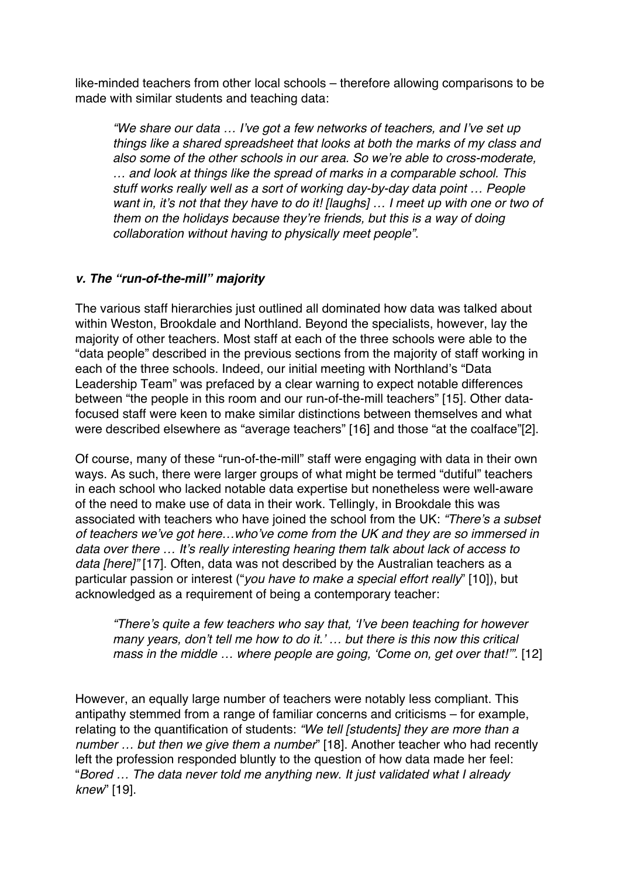like-minded teachers from other local schools – therefore allowing comparisons to be made with similar students and teaching data:

*"We share our data … I've got a few networks of teachers, and I've set up things like a shared spreadsheet that looks at both the marks of my class and also some of the other schools in our area. So we're able to cross-moderate, … and look at things like the spread of marks in a comparable school. This stuff works really well as a sort of working day-by-day data point … People want in, it's not that they have to do it! [laughs] … I meet up with one or two of them on the holidays because they're friends, but this is a way of doing collaboration without having to physically meet people"*.

# *v. The "run-of-the-mill" majority*

The various staff hierarchies just outlined all dominated how data was talked about within Weston, Brookdale and Northland. Beyond the specialists, however, lay the majority of other teachers. Most staff at each of the three schools were able to the "data people" described in the previous sections from the majority of staff working in each of the three schools. Indeed, our initial meeting with Northland's "Data Leadership Team" was prefaced by a clear warning to expect notable differences between "the people in this room and our run-of-the-mill teachers" [15]. Other datafocused staff were keen to make similar distinctions between themselves and what were described elsewhere as "average teachers" [16] and those "at the coalface"[2].

Of course, many of these "run-of-the-mill" staff were engaging with data in their own ways. As such, there were larger groups of what might be termed "dutiful" teachers in each school who lacked notable data expertise but nonetheless were well-aware of the need to make use of data in their work. Tellingly, in Brookdale this was associated with teachers who have joined the school from the UK: *"There's a subset of teachers we've got here…who've come from the UK and they are so immersed in data over there … It's really interesting hearing them talk about lack of access to data [here]"* [17]. Often, data was not described by the Australian teachers as a particular passion or interest ("*you have to make a special effort really*" [10]), but acknowledged as a requirement of being a contemporary teacher:

*"There's quite a few teachers who say that, 'I've been teaching for however many years, don't tell me how to do it.' … but there is this now this critical mass in the middle ... where people are going, 'Come on, get over that!".* [12]

However, an equally large number of teachers were notably less compliant. This antipathy stemmed from a range of familiar concerns and criticisms – for example, relating to the quantification of students: *"We tell [students] they are more than a number … but then we give them a number*" [18]. Another teacher who had recently left the profession responded bluntly to the question of how data made her feel: "*Bored … The data never told me anything new. It just validated what I already knew*" [19].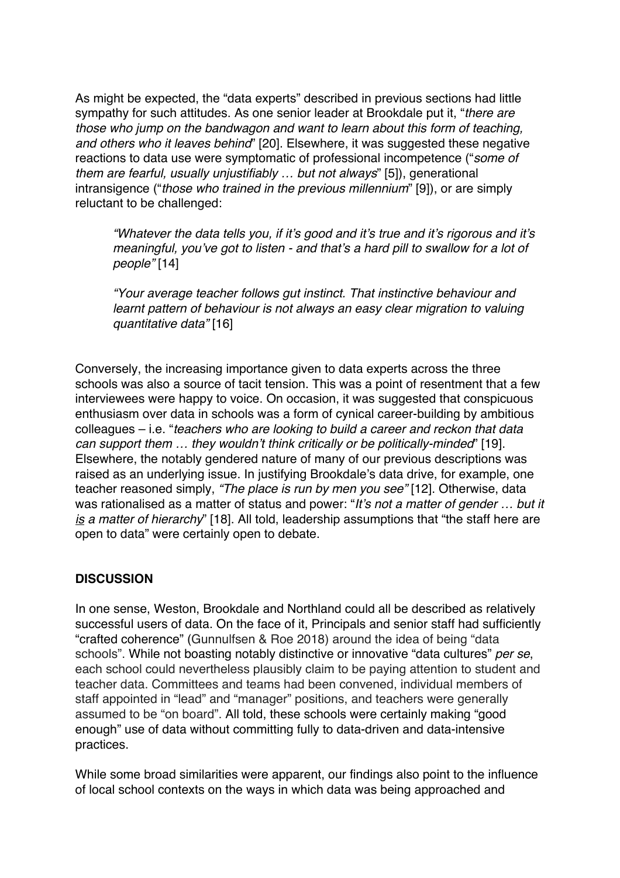As might be expected, the "data experts" described in previous sections had little sympathy for such attitudes. As one senior leader at Brookdale put it, "*there are those who jump on the bandwagon and want to learn about this form of teaching, and others who it leaves behind*" [20]. Elsewhere, it was suggested these negative reactions to data use were symptomatic of professional incompetence ("*some of them are fearful, usually unjustifiably … but not always*" [5]), generational intransigence ("*those who trained in the previous millennium*" [9]), or are simply reluctant to be challenged:

*"Whatever the data tells you, if it's good and it's true and it's rigorous and it's meaningful, you've got to listen - and that's a hard pill to swallow for a lot of people"* [14]

*"Your average teacher follows gut instinct. That instinctive behaviour and learnt pattern of behaviour is not always an easy clear migration to valuing quantitative data"* [16]

Conversely, the increasing importance given to data experts across the three schools was also a source of tacit tension. This was a point of resentment that a few interviewees were happy to voice. On occasion, it was suggested that conspicuous enthusiasm over data in schools was a form of cynical career-building by ambitious colleagues – i.e. "*teachers who are looking to build a career and reckon that data can support them … they wouldn't think critically or be politically-minded*" [19]. Elsewhere, the notably gendered nature of many of our previous descriptions was raised as an underlying issue. In justifying Brookdale's data drive, for example, one teacher reasoned simply, *"The place is run by men you see"* [12]. Otherwise, data was rationalised as a matter of status and power: "*It's not a matter of gender … but it is a matter of hierarchy*" [18]. All told, leadership assumptions that "the staff here are open to data" were certainly open to debate.

# **DISCUSSION**

In one sense, Weston, Brookdale and Northland could all be described as relatively successful users of data. On the face of it, Principals and senior staff had sufficiently "crafted coherence" (Gunnulfsen & Roe 2018) around the idea of being "data schools". While not boasting notably distinctive or innovative "data cultures" *per se*, each school could nevertheless plausibly claim to be paying attention to student and teacher data. Committees and teams had been convened, individual members of staff appointed in "lead" and "manager" positions, and teachers were generally assumed to be "on board". All told, these schools were certainly making "good enough" use of data without committing fully to data-driven and data-intensive practices.

While some broad similarities were apparent, our findings also point to the influence of local school contexts on the ways in which data was being approached and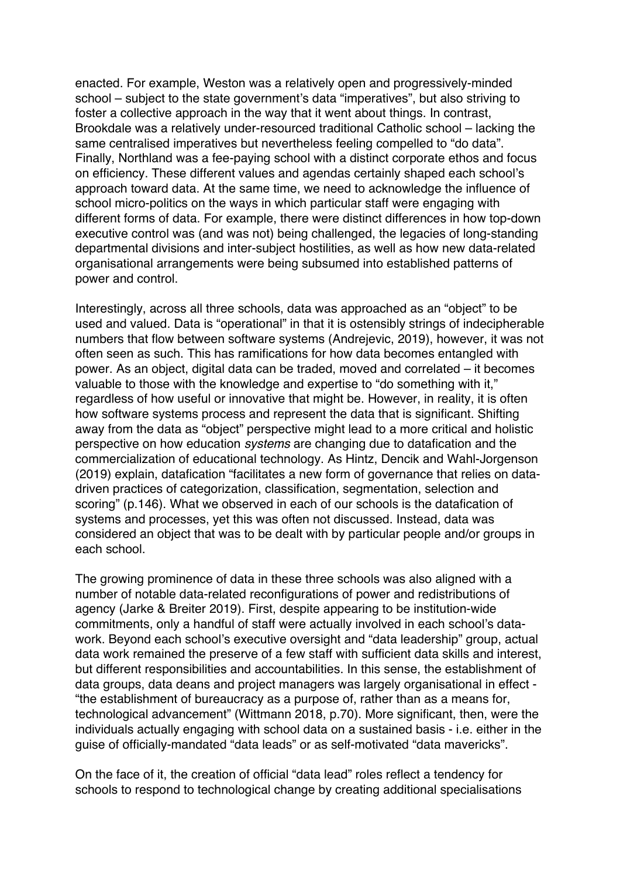enacted. For example, Weston was a relatively open and progressively-minded school – subject to the state government's data "imperatives", but also striving to foster a collective approach in the way that it went about things. In contrast, Brookdale was a relatively under-resourced traditional Catholic school – lacking the same centralised imperatives but nevertheless feeling compelled to "do data". Finally, Northland was a fee-paying school with a distinct corporate ethos and focus on efficiency. These different values and agendas certainly shaped each school's approach toward data. At the same time, we need to acknowledge the influence of school micro-politics on the ways in which particular staff were engaging with different forms of data. For example, there were distinct differences in how top-down executive control was (and was not) being challenged, the legacies of long-standing departmental divisions and inter-subject hostilities, as well as how new data-related organisational arrangements were being subsumed into established patterns of power and control.

Interestingly, across all three schools, data was approached as an "object" to be used and valued. Data is "operational" in that it is ostensibly strings of indecipherable numbers that flow between software systems (Andrejevic, 2019), however, it was not often seen as such. This has ramifications for how data becomes entangled with power. As an object, digital data can be traded, moved and correlated – it becomes valuable to those with the knowledge and expertise to "do something with it," regardless of how useful or innovative that might be. However, in reality, it is often how software systems process and represent the data that is significant. Shifting away from the data as "object" perspective might lead to a more critical and holistic perspective on how education *systems* are changing due to datafication and the commercialization of educational technology. As Hintz, Dencik and Wahl-Jorgenson (2019) explain, datafication "facilitates a new form of governance that relies on datadriven practices of categorization, classification, segmentation, selection and scoring" (p.146). What we observed in each of our schools is the datafication of systems and processes, yet this was often not discussed. Instead, data was considered an object that was to be dealt with by particular people and/or groups in each school.

The growing prominence of data in these three schools was also aligned with a number of notable data-related reconfigurations of power and redistributions of agency (Jarke & Breiter 2019). First, despite appearing to be institution-wide commitments, only a handful of staff were actually involved in each school's datawork. Beyond each school's executive oversight and "data leadership" group, actual data work remained the preserve of a few staff with sufficient data skills and interest, but different responsibilities and accountabilities. In this sense, the establishment of data groups, data deans and project managers was largely organisational in effect - "the establishment of bureaucracy as a purpose of, rather than as a means for, technological advancement" (Wittmann 2018, p.70). More significant, then, were the individuals actually engaging with school data on a sustained basis - i.e. either in the guise of officially-mandated "data leads" or as self-motivated "data mavericks".

On the face of it, the creation of official "data lead" roles reflect a tendency for schools to respond to technological change by creating additional specialisations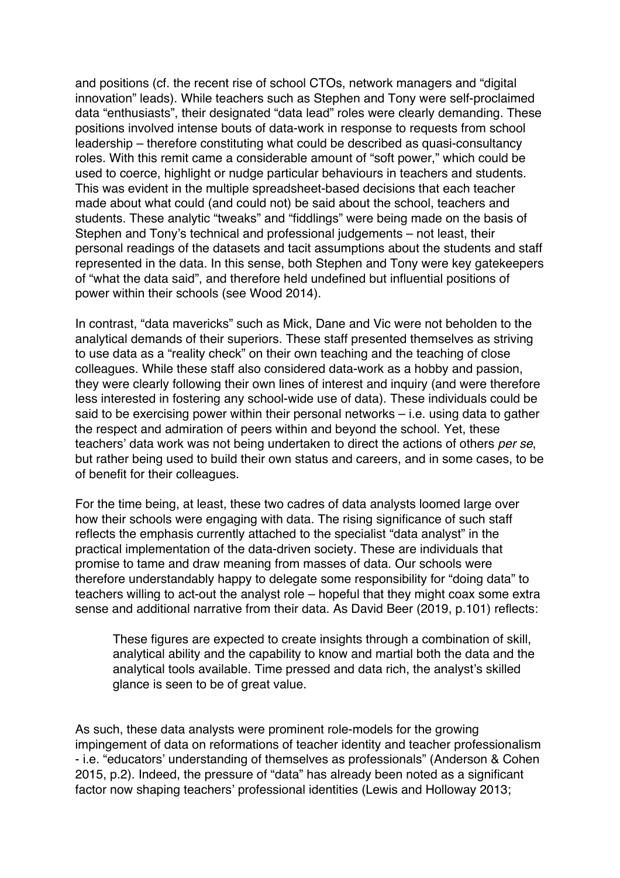and positions (cf. the recent rise of school CTOs, network managers and "digital innovation" leads). While teachers such as Stephen and Tony were self-proclaimed data "enthusiasts", their designated "data lead" roles were clearly demanding. These positions involved intense bouts of data-work in response to requests from school leadership – therefore constituting what could be described as quasi-consultancy roles. With this remit came a considerable amount of "soft power," which could be used to coerce, highlight or nudge particular behaviours in teachers and students. This was evident in the multiple spreadsheet-based decisions that each teacher made about what could (and could not) be said about the school, teachers and students. These analytic "tweaks" and "fiddlings" were being made on the basis of Stephen and Tony's technical and professional judgements – not least, their personal readings of the datasets and tacit assumptions about the students and staff represented in the data. In this sense, both Stephen and Tony were key gatekeepers of "what the data said", and therefore held undefined but influential positions of power within their schools (see Wood 2014).

In contrast, "data mavericks" such as Mick, Dane and Vic were not beholden to the analytical demands of their superiors. These staff presented themselves as striving to use data as a "reality check" on their own teaching and the teaching of close colleagues. While these staff also considered data-work as a hobby and passion, they were clearly following their own lines of interest and inquiry (and were therefore less interested in fostering any school-wide use of data). These individuals could be said to be exercising power within their personal networks – i.e. using data to gather the respect and admiration of peers within and beyond the school. Yet, these teachers' data work was not being undertaken to direct the actions of others *per se*, but rather being used to build their own status and careers, and in some cases, to be of benefit for their colleagues.

For the time being, at least, these two cadres of data analysts loomed large over how their schools were engaging with data. The rising significance of such staff reflects the emphasis currently attached to the specialist "data analyst" in the practical implementation of the data-driven society. These are individuals that promise to tame and draw meaning from masses of data. Our schools were therefore understandably happy to delegate some responsibility for "doing data" to teachers willing to act-out the analyst role – hopeful that they might coax some extra sense and additional narrative from their data. As David Beer (2019, p.101) reflects:

These figures are expected to create insights through a combination of skill, analytical ability and the capability to know and martial both the data and the analytical tools available. Time pressed and data rich, the analyst's skilled glance is seen to be of great value.

As such, these data analysts were prominent role-models for the growing impingement of data on reformations of teacher identity and teacher professionalism - i.e. "educators' understanding of themselves as professionals" (Anderson & Cohen 2015, p.2). Indeed, the pressure of "data" has already been noted as a significant factor now shaping teachers' professional identities (Lewis and Holloway 2013;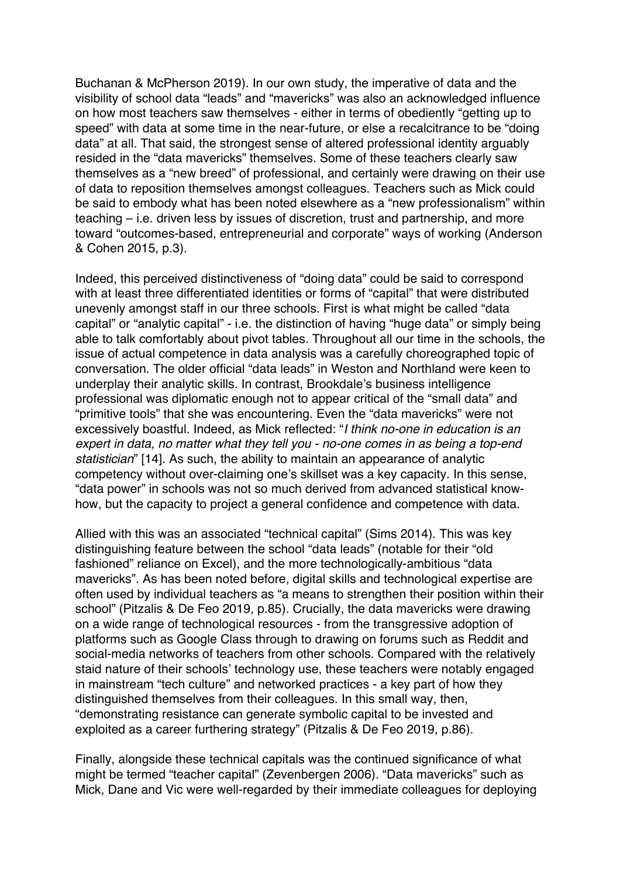Buchanan & McPherson 2019). In our own study, the imperative of data and the visibility of school data "leads" and "mavericks" was also an acknowledged influence on how most teachers saw themselves - either in terms of obediently "getting up to speed" with data at some time in the near-future, or else a recalcitrance to be "doing data" at all. That said, the strongest sense of altered professional identity arguably resided in the "data mavericks" themselves. Some of these teachers clearly saw themselves as a "new breed" of professional, and certainly were drawing on their use of data to reposition themselves amongst colleagues. Teachers such as Mick could be said to embody what has been noted elsewhere as a "new professionalism" within teaching – i.e. driven less by issues of discretion, trust and partnership, and more toward "outcomes-based, entrepreneurial and corporate" ways of working (Anderson & Cohen 2015, p.3).

Indeed, this perceived distinctiveness of "doing data" could be said to correspond with at least three differentiated identities or forms of "capital" that were distributed unevenly amongst staff in our three schools. First is what might be called "data capital" or "analytic capital" - i.e. the distinction of having "huge data" or simply being able to talk comfortably about pivot tables. Throughout all our time in the schools, the issue of actual competence in data analysis was a carefully choreographed topic of conversation. The older official "data leads" in Weston and Northland were keen to underplay their analytic skills. In contrast, Brookdale's business intelligence professional was diplomatic enough not to appear critical of the "small data" and "primitive tools" that she was encountering. Even the "data mavericks" were not excessively boastful. Indeed, as Mick reflected: "*I think no-one in education is an expert in data, no matter what they tell you - no-one comes in as being a top-end statistician*" [14]. As such, the ability to maintain an appearance of analytic competency without over-claiming one's skillset was a key capacity. In this sense, "data power" in schools was not so much derived from advanced statistical knowhow, but the capacity to project a general confidence and competence with data.

Allied with this was an associated "technical capital" (Sims 2014). This was key distinguishing feature between the school "data leads" (notable for their "old fashioned" reliance on Excel), and the more technologically-ambitious "data mavericks". As has been noted before, digital skills and technological expertise are often used by individual teachers as "a means to strengthen their position within their school" (Pitzalis & De Feo 2019, p.85). Crucially, the data mavericks were drawing on a wide range of technological resources - from the transgressive adoption of platforms such as Google Class through to drawing on forums such as Reddit and social-media networks of teachers from other schools. Compared with the relatively staid nature of their schools' technology use, these teachers were notably engaged in mainstream "tech culture" and networked practices - a key part of how they distinguished themselves from their colleagues. In this small way, then, "demonstrating resistance can generate symbolic capital to be invested and exploited as a career furthering strategy" (Pitzalis & De Feo 2019, p.86).

Finally, alongside these technical capitals was the continued significance of what might be termed "teacher capital" (Zevenbergen 2006). "Data mavericks" such as Mick, Dane and Vic were well-regarded by their immediate colleagues for deploying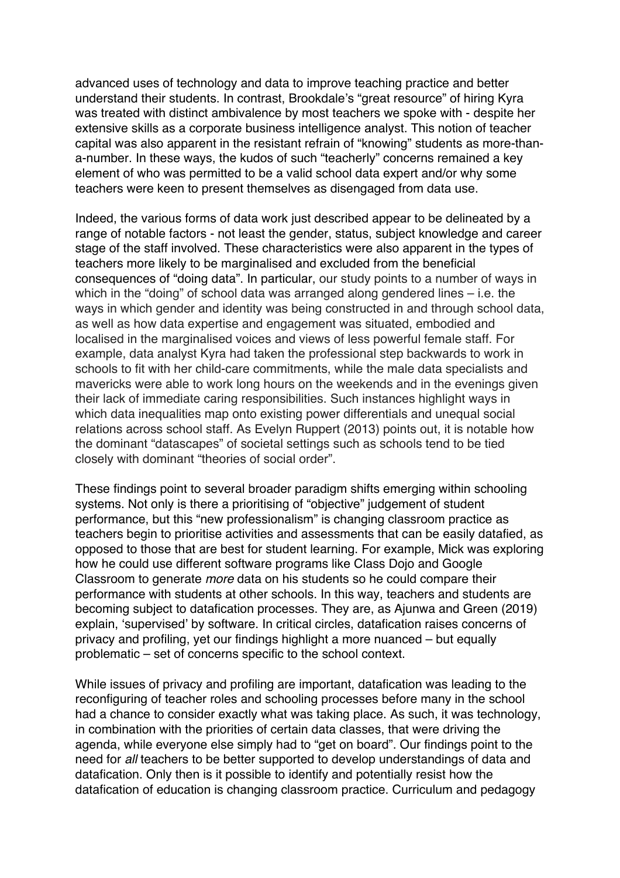advanced uses of technology and data to improve teaching practice and better understand their students. In contrast, Brookdale's "great resource" of hiring Kyra was treated with distinct ambivalence by most teachers we spoke with - despite her extensive skills as a corporate business intelligence analyst. This notion of teacher capital was also apparent in the resistant refrain of "knowing" students as more-thana-number. In these ways, the kudos of such "teacherly" concerns remained a key element of who was permitted to be a valid school data expert and/or why some teachers were keen to present themselves as disengaged from data use.

Indeed, the various forms of data work just described appear to be delineated by a range of notable factors - not least the gender, status, subject knowledge and career stage of the staff involved. These characteristics were also apparent in the types of teachers more likely to be marginalised and excluded from the beneficial consequences of "doing data". In particular, our study points to a number of ways in which in the "doing" of school data was arranged along gendered lines – i.e. the ways in which gender and identity was being constructed in and through school data, as well as how data expertise and engagement was situated, embodied and localised in the marginalised voices and views of less powerful female staff. For example, data analyst Kyra had taken the professional step backwards to work in schools to fit with her child-care commitments, while the male data specialists and mavericks were able to work long hours on the weekends and in the evenings given their lack of immediate caring responsibilities. Such instances highlight ways in which data inequalities map onto existing power differentials and unequal social relations across school staff. As Evelyn Ruppert (2013) points out, it is notable how the dominant "datascapes" of societal settings such as schools tend to be tied closely with dominant "theories of social order".

These findings point to several broader paradigm shifts emerging within schooling systems. Not only is there a prioritising of "objective" judgement of student performance, but this "new professionalism" is changing classroom practice as teachers begin to prioritise activities and assessments that can be easily datafied, as opposed to those that are best for student learning. For example, Mick was exploring how he could use different software programs like Class Dojo and Google Classroom to generate *more* data on his students so he could compare their performance with students at other schools. In this way, teachers and students are becoming subject to datafication processes. They are, as Ajunwa and Green (2019) explain, 'supervised' by software. In critical circles, datafication raises concerns of privacy and profiling, yet our findings highlight a more nuanced – but equally problematic – set of concerns specific to the school context.

While issues of privacy and profiling are important, datafication was leading to the reconfiguring of teacher roles and schooling processes before many in the school had a chance to consider exactly what was taking place. As such, it was technology, in combination with the priorities of certain data classes, that were driving the agenda, while everyone else simply had to "get on board". Our findings point to the need for *all* teachers to be better supported to develop understandings of data and datafication. Only then is it possible to identify and potentially resist how the datafication of education is changing classroom practice. Curriculum and pedagogy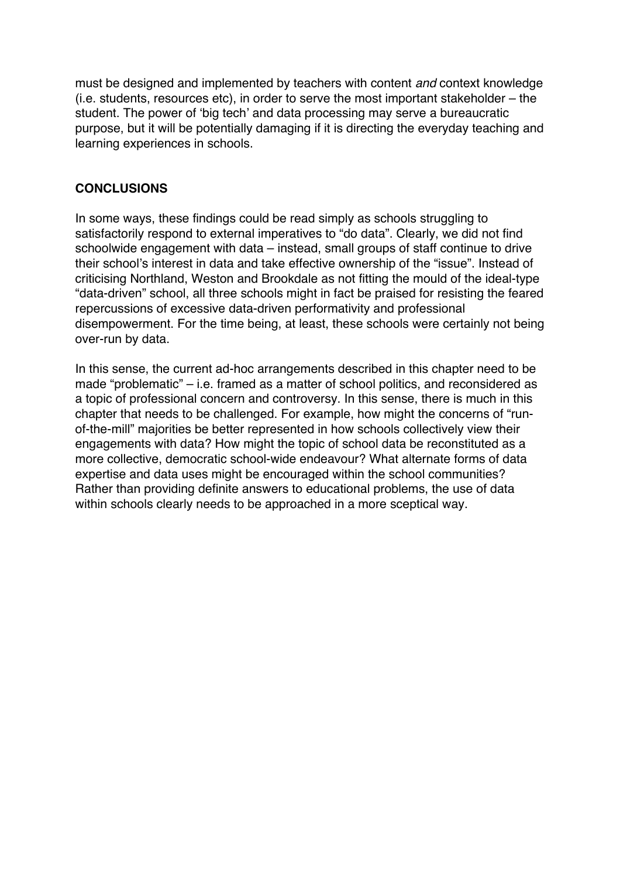must be designed and implemented by teachers with content *and* context knowledge (i.e. students, resources etc), in order to serve the most important stakeholder – the student. The power of 'big tech' and data processing may serve a bureaucratic purpose, but it will be potentially damaging if it is directing the everyday teaching and learning experiences in schools.

#### **CONCLUSIONS**

In some ways, these findings could be read simply as schools struggling to satisfactorily respond to external imperatives to "do data". Clearly, we did not find schoolwide engagement with data – instead, small groups of staff continue to drive their school's interest in data and take effective ownership of the "issue". Instead of criticising Northland, Weston and Brookdale as not fitting the mould of the ideal-type "data-driven" school, all three schools might in fact be praised for resisting the feared repercussions of excessive data-driven performativity and professional disempowerment. For the time being, at least, these schools were certainly not being over-run by data.

In this sense, the current ad-hoc arrangements described in this chapter need to be made "problematic" – i.e. framed as a matter of school politics, and reconsidered as a topic of professional concern and controversy. In this sense, there is much in this chapter that needs to be challenged. For example, how might the concerns of "runof-the-mill" majorities be better represented in how schools collectively view their engagements with data? How might the topic of school data be reconstituted as a more collective, democratic school-wide endeavour? What alternate forms of data expertise and data uses might be encouraged within the school communities? Rather than providing definite answers to educational problems, the use of data within schools clearly needs to be approached in a more sceptical way.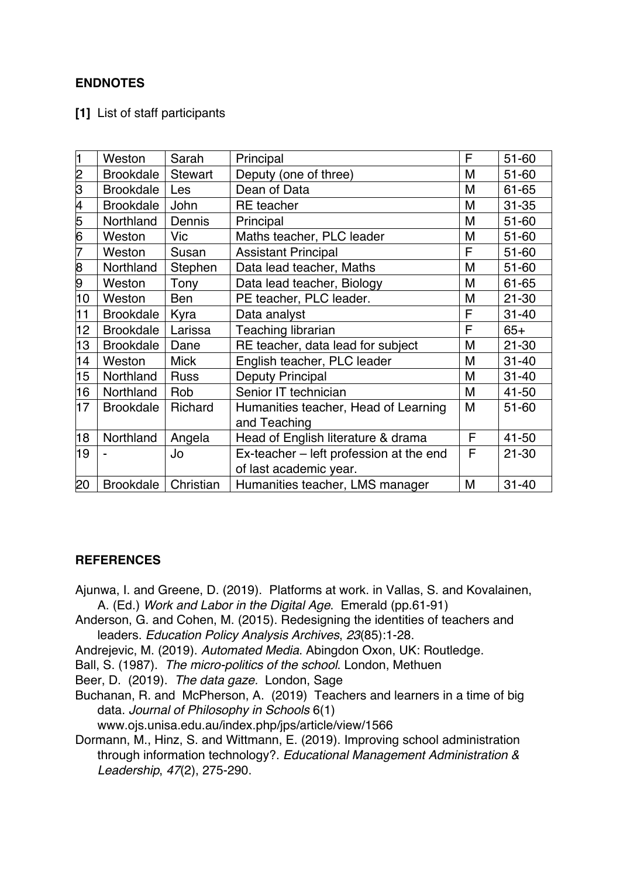# **ENDNOTES**

**[1]** List of staff participants

| 1  | Weston           | Sarah          | Principal                               | F | 51-60     |
|----|------------------|----------------|-----------------------------------------|---|-----------|
| 2  | <b>Brookdale</b> | <b>Stewart</b> | Deputy (one of three)                   | M | $51 - 60$ |
| 3  | <b>Brookdale</b> | Les            | Dean of Data                            | M | 61-65     |
| 4  | <b>Brookdale</b> | John           | <b>RE</b> teacher                       | M | $31 - 35$ |
| 5  | Northland        | Dennis         | Principal                               | M | 51-60     |
| 6  | Weston           | <b>Vic</b>     | Maths teacher, PLC leader               | M | 51-60     |
| 7  | Weston           | Susan          | <b>Assistant Principal</b>              | F | 51-60     |
| 8  | Northland        | Stephen        | Data lead teacher, Maths                | M | 51-60     |
| 9  | Weston           | Tony           | Data lead teacher, Biology              | M | 61-65     |
| 10 | Weston           | Ben            | PE teacher, PLC leader.                 | M | $21 - 30$ |
| 11 | <b>Brookdale</b> | Kyra           | Data analyst                            | F | $31 - 40$ |
| 12 | <b>Brookdale</b> | Larissa        | Teaching librarian                      | F | $65+$     |
| 13 | <b>Brookdale</b> | Dane           | RE teacher, data lead for subject       | M | $21 - 30$ |
| 14 | Weston           | <b>Mick</b>    | English teacher, PLC leader             | M | $31 - 40$ |
| 15 | Northland        | <b>Russ</b>    | Deputy Principal                        | M | $31 - 40$ |
| 16 | Northland        | Rob            | Senior IT technician                    | M | 41-50     |
| 17 | <b>Brookdale</b> | Richard        | Humanities teacher, Head of Learning    | M | 51-60     |
|    |                  |                | and Teaching                            |   |           |
| 18 | Northland        | Angela         | Head of English literature & drama      | F | 41-50     |
| 19 |                  | Jo             | Ex-teacher - left profession at the end | F | $21 - 30$ |
|    |                  |                | of last academic year.                  |   |           |
| 20 | <b>Brookdale</b> | Christian      | Humanities teacher, LMS manager         | M | $31 - 40$ |

#### **REFERENCES**

- Ajunwa, I. and Greene, D. (2019). Platforms at work. in Vallas, S. and Kovalainen, A. (Ed.) *Work and Labor in the Digital Age*. Emerald (pp.61-91)
- Anderson, G. and Cohen, M. (2015). Redesigning the identities of teachers and leaders. *Education Policy Analysis Archives*, *23*(85):1-28.
- Andrejevic, M. (2019). *Automated Media*. Abingdon Oxon, UK: Routledge.
- Ball, S. (1987). *The micro-politics of the school*. London, Methuen

Beer, D. (2019). *The data gaze.* London, Sage

Buchanan, R. and McPherson, A. (2019) Teachers and learners in a time of big data. *Journal of Philosophy in Schools* 6(1)

www.ojs.unisa.edu.au/index.php/jps/article/view/1566

Dormann, M., Hinz, S. and Wittmann, E. (2019). Improving school administration through information technology?. *Educational Management Administration & Leadership*, *47*(2), 275-290.